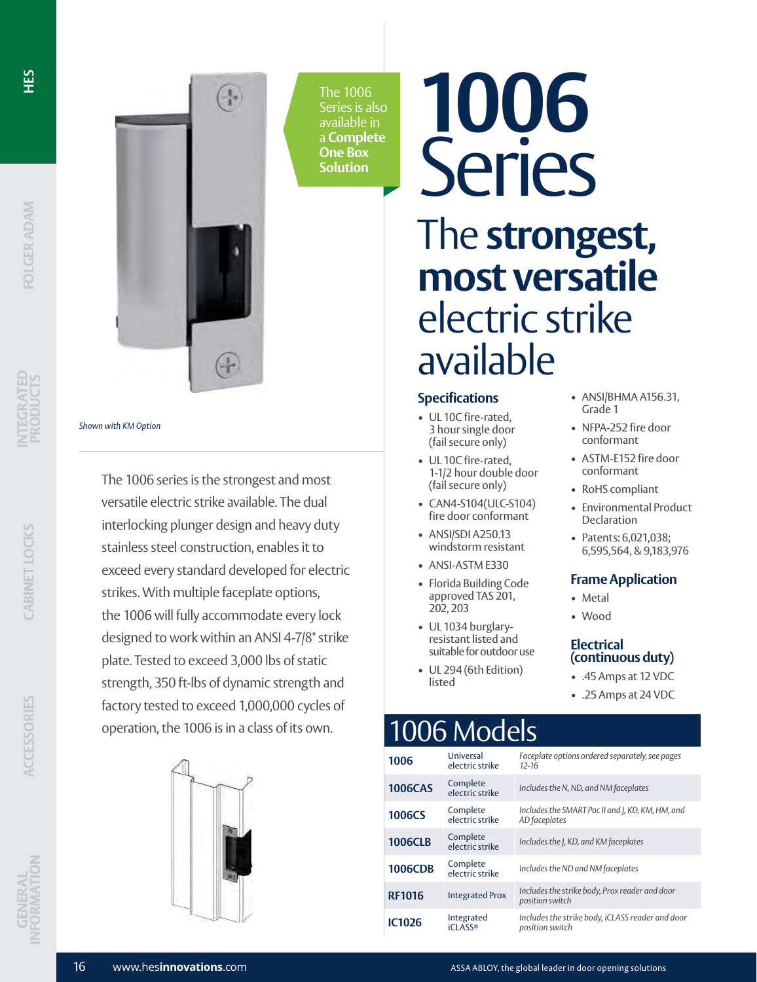**INTEGRATED** 

*Shown with KM Option*





The 1006 Series is also available in a **Complete One Box Solution**

# **1006** Series The **strongest, most versatile** electric strike available

### **Specifications**

- UL 10C fire-rated, 3 hour single door (fail secure only)
- UL 10C fire-rated, 1-1/2 hour double door (fail secure only)
- CAN4-S104(ULC-S104) fire door conformant
- ANSI/SDI A250.13 windstorm resistant
- ANSI-ASTM E330
- Florida Building Code approved TAS 201, 202, 203
- UL 1034 burglaryresistant listed and suitable for outdoor use
- UL 294 (6th Edition) listed

## 1006 Models

| 1006           | Universal<br>electric strike | Faceplate options ordered separately, see pages<br>$12 - 16$        |
|----------------|------------------------------|---------------------------------------------------------------------|
| <b>1006CAS</b> | Complete<br>electric strike  | Includes the N, ND, and NM faceplates                               |
| <b>1006CS</b>  | Complete<br>electric strike  | Includes the SMART Pac II and J, KD, KM, HM, and<br>AD faceplates   |
| <b>1006CLB</b> | Complete<br>electric strike  | Includes the J, KD, and KM faceplates                               |
| <b>1006CDB</b> | Complete<br>electric strike  | Includes the ND and NM faceplates                                   |
| <b>RF1016</b>  | <b>Integrated Prox</b>       | Includes the strike body, Prox reader and door<br>position switch   |
| <b>IC1026</b>  | Integrated<br><b>iCLASS®</b> | Includes the strike body, iCLASS reader and door<br>position switch |

- ANSI/BHMA A156.31, Grade 1
- NFPA-252 fire door conformant
- ASTM-E152 fire door conformant
- RoHS compliant
- Environmental Product Declaration
- Patents: 6,021,038; 6,595,564, & 9,183,976

### **Frame Application**

- Metal
- Wood

### **Electrical (continuous duty)**

- .45 Amps at 12 VDC
- .25 Amps at 24 VDC



The 1006 series is the strongest and most versatile electric strike available. The dual interlocking plunger design and heavy duty stainless steel construction, enables it to

exceed every standard developed for electric

the 1006 will fully accommodate every lock designed to work within an ANSI 4-7/8" strike

plate. Tested to exceed 3,000 lbs of static strength, 350 ft-lbs of dynamic strength and factory tested to exceed 1,000,000 cycles of operation, the 1006 is in a class of its own.

strikes. With multiple faceplate options,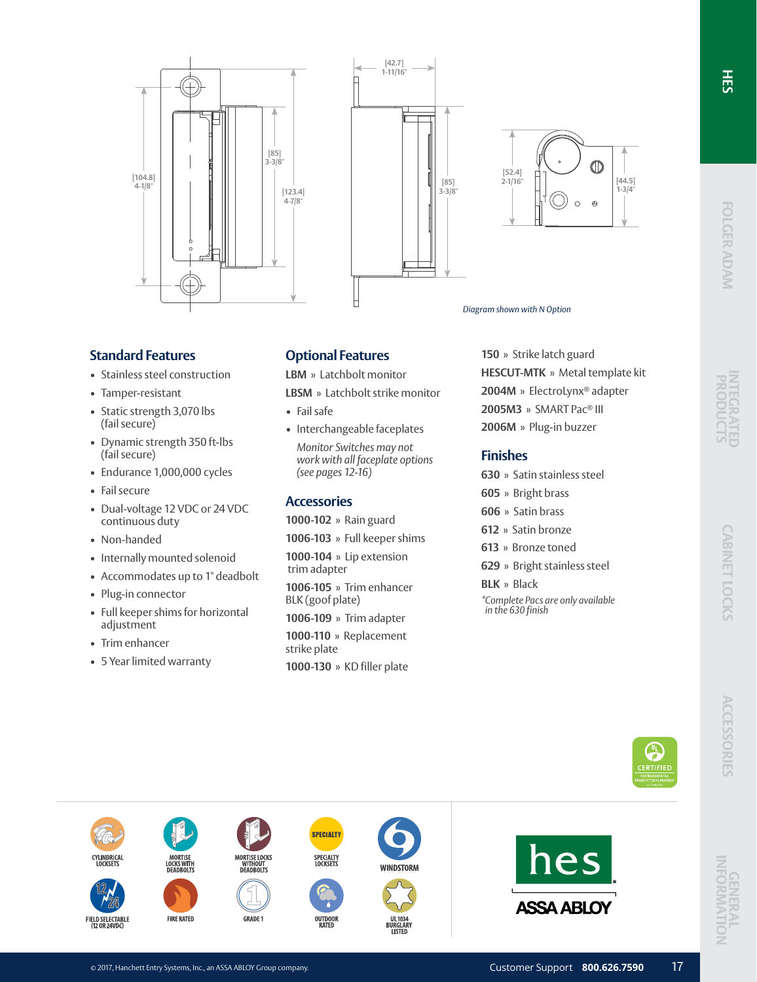FRTIFIF









### *Diagram shown with N Option*

### **Standard Features**

- Stainless steel construction
- Tamper-resistant
- Static strength 3,070 lbs (fail secure)
- Dynamic strength 350 ft-lbs (fail secure)
- Endurance 1,000,000 cycles
- Fail secure
- Dual-voltage 12 VDC or 24 VDC continuous duty
- Non-handed
- Internally mounted solenoid
- Accommodates up to 1" deadbolt
- Plug-in connector
- Full keeper shims for horizontal adjustment
- Trim enhancer

**CYLINDRICAL** 

FIELD SELECTABLE<br>(12 OR 24VDC)

• 5 Year limited warranty

### **Optional Features**

**LBM** » Latchbolt monitor

**LBSM** » Latchbolt strike monitor

- Fail safe
- Interchangeable faceplates *Monitor Switches may not work with all faceplate options (see pages 12-16)*

### **Accessories**

**1000-102** » Rain guard

**1006-103** » Full keeper shims

**1000-104** » Lip extension trim adapter

**1006-105** » Trim enhancer BLK (goof plate)

**1006-109** » Trim adapter **1000-110** » Replacement strike plate **1000-130** » KD filler plate

**SPECIALTY** 

SPECIALTY<br>LOCKSETS

OUTDOOR<br>RATED

WINDSTORM

**TISTEI** 

**150** » Strike latch guard **HESCUT-MTK** » Metal template kit **2004M** » ElectroLynx® adapter **2005M3** » SMART Pac® III **2006M** » Plug-in buzzer

### **Finishes**

- **630** » Satin stainless steel
- **605** » Bright brass
- **606** » Satin brass
- **612** » Satin bronze
- **613** » Bronze toned
- **629** » Bright stainless steel
- **BLK** » Black *\*Complete Pacs are only available in the 630 finish*



**ASSA ABLOY** 

**FIRE RATED** 

**MORTISE LOCKS**<br>WITHOUT<br>DEADBOLTS

**GRADE 1**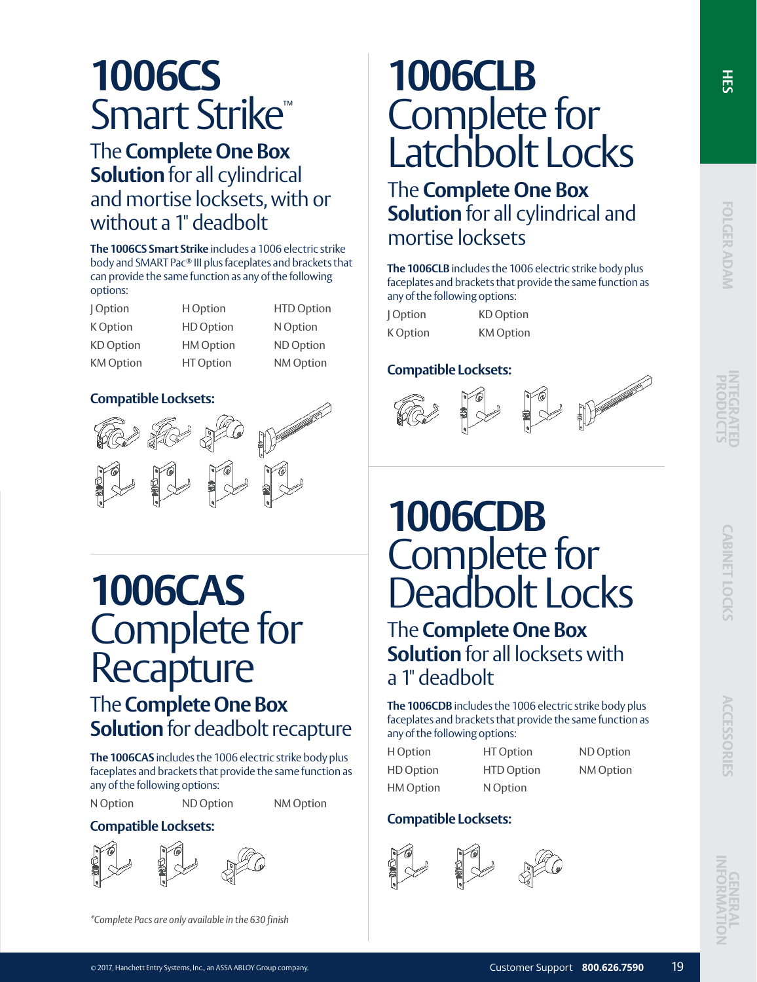# **1006CS** Smart Strike™

### The **Complete One Box Solution** for all cylindrical and mortise locksets, with or without a 1" deadbolt

**The 1006CS Smart Strike** includes a 1006 electric strike body and SMART Pac® III plus faceplates and brackets that can provide the same function as any of the following options:

| Option           | H Option         | <b>HTD Option</b> |
|------------------|------------------|-------------------|
| K Option         | <b>HD</b> Option | N Option          |
| <b>KD</b> Option | <b>HM Option</b> | ND Option         |
| <b>KM</b> Option | <b>HT</b> Option | NM Option         |

### **Compatible Locksets:**



# **1006CAS** Complete for **Recapture** The **Complete One Box Solution** for deadbolt recapture

**The 1006CAS** includes the 1006 electric strike body plus faceplates and brackets that provide the same function as any of the following options:

N Option ND Option NM Option



*\*Complete Pacs are only available in the 630 finish*

# **1006CLB** Complete for Latchbolt Locks

The **Complete One Box Solution** for all cylindrical and mortise locksets

**The 1006CLB** includes the 1006 electric strike body plus faceplates and brackets that provide the same function as any of the following options:

| Option   | <b>KD</b> Option |
|----------|------------------|
| K Option | <b>KM</b> Option |

### **Compatible Locksets:**

**INTEGRATED** 

 $\frac{1}{50}$ 

FOLGER ADAM

# **1006CDB** Complete for Deadbolt Locks

The **Complete One Box Solution** for all locksets with a 1" deadbolt

**The 1006CDB** includes the 1006 electric strike body plus faceplates and brackets that provide the same function as any of the following options:

H Option HD Option HM Option HT Option HTD Option N Option ND Option

NM Option

### **Compatible Locksets: Compatible Locksets:**



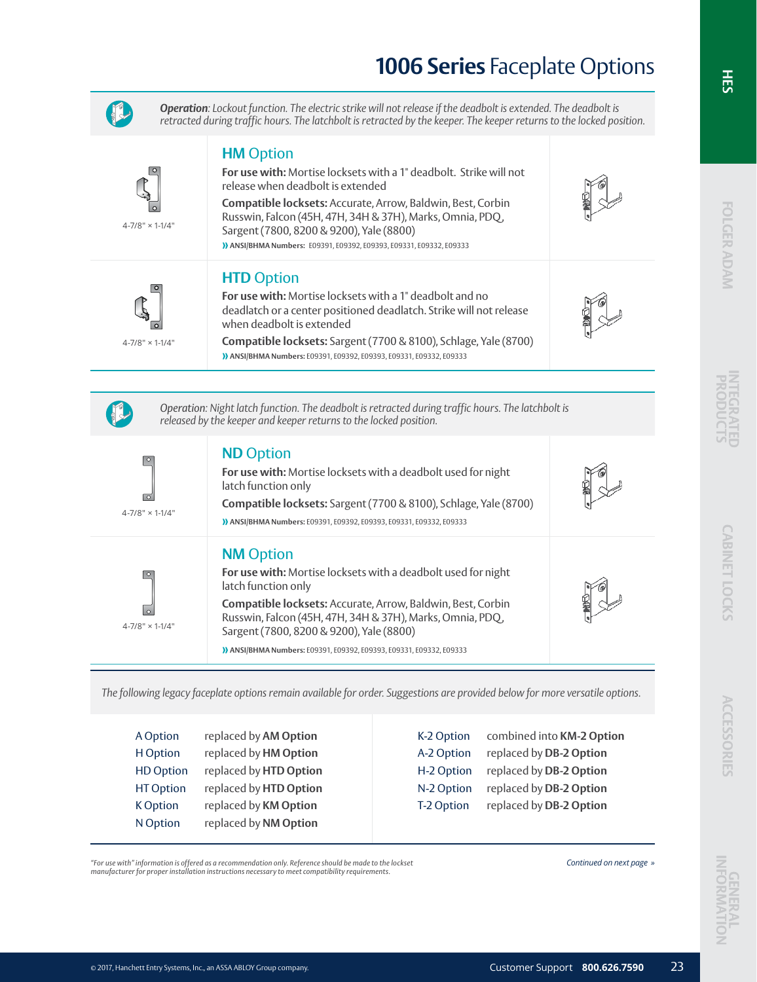## **1006 Series** Faceplate Options



*Operation: Lockout function. The electric strike will not release if the deadbolt is extended. The deadbolt is retracted during traffic hours. The latchbolt is retracted by the keeper. The keeper returns to the locked position.*



4-7/8" × 1-1/4"

4-7/8" × 1-1/4"

# **HTD** Option

**HM** Option

release when deadbolt is extended

Sargent (7800, 8200 & 9200), Yale (8800)

**For use with:** Mortise locksets with a 1" deadbolt and no deadlatch or a center positioned deadlatch. Strike will not release when deadbolt is extended

**For use with:** Mortise locksets with a 1" deadbolt. Strike will not

**Compatible locksets:** Accurate, Arrow, Baldwin, Best, Corbin Russwin, Falcon (45H, 47H, 34H & 37H), Marks, Omnia, PDQ,

**» ANSI/BHMA Numbers:** E09391, E09392, E09393, E09331, E09332, E09333

**Compatible locksets:** Sargent (7700 & 8100), Schlage, Yale (8700) **» ANSI/BHMA Numbers:** E09391, E09392, E09393, E09331, E09332, E09333



*Operation: Night latch function. The deadbolt is retracted during traffic hours. The latchbolt is released by the keeper and keeper returns to the locked position.* 

### **ND** Option

**For use with:** Mortise locksets with a deadbolt used for night latch function only

**Compatible locksets:** Sargent (7700 & 8100), Schlage, Yale (8700) **» ANSI/BHMA Numbers:** E09391, E09392, E09393, E09331, E09332, E09333

### **NM** Option

 $\boxed{\circ}$  $\overline{\circ}$  $4 - 7/8" \times 1 - 1/4"$ 

 $4 - 7/8" \times 1 - 1/4"$ 

 $\overline{\circ}$ 

 $\boxed{\circ}$ 

**For use with:** Mortise locksets with a deadbolt used for night latch function only **Compatible locksets:** Accurate, Arrow, Baldwin, Best, Corbin Russwin, Falcon (45H, 47H, 34H & 37H), Marks, Omnia, PDQ, Sargent (7800, 8200 & 9200), Yale (8800) **» ANSI/BHMA Numbers:** E09391, E09392, E09393, E09331, E09332, E09333

*The following legacy faceplate options remain available for order. Suggestions are provided below for more versatile options.* 

| A Option         | replaced by AM Option  | K-2 Option | combined into KM-2 Option |
|------------------|------------------------|------------|---------------------------|
| H Option         | replaced by HM Option  | A-2 Option | replaced by DB-2 Option   |
| <b>HD Option</b> | replaced by HTD Option | H-2 Option | replaced by DB-2 Option   |
| <b>HT Option</b> | replaced by HTD Option | N-2 Option | replaced by DB-2 Option   |
| K Option         | replaced by KM Option  | T-2 Option | replaced by DB-2 Option   |
| N Option         | replaced by NM Option  |            |                           |

*"For use with" information is offered as a recommendation only. Reference should be made to the lockset Continued on next page » manufacturer for proper installation instructions necessary to meet compatibility requirements.*